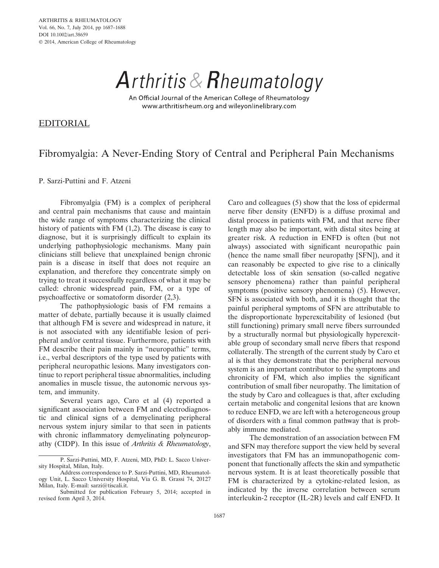Arthritis & Rheumatology

An Official Journal of the American College of Rheumatology www.arthritisrheum.org and wileyonlinelibrary.com

EDITORIAL

## Fibromyalgia: A Never-Ending Story of Central and Peripheral Pain Mechanisms

P. Sarzi-Puttini and F. Atzeni

Fibromyalgia (FM) is a complex of peripheral and central pain mechanisms that cause and maintain the wide range of symptoms characterizing the clinical history of patients with FM (1,2). The disease is easy to diagnose, but it is surprisingly difficult to explain its underlying pathophysiologic mechanisms. Many pain clinicians still believe that unexplained benign chronic pain is a disease in itself that does not require an explanation, and therefore they concentrate simply on trying to treat it successfully regardless of what it may be called: chronic widespread pain, FM, or a type of psychoaffective or somatoform disorder (2,3).

The pathophysiologic basis of FM remains a matter of debate, partially because it is usually claimed that although FM is severe and widespread in nature, it is not associated with any identifiable lesion of peripheral and/or central tissue. Furthermore, patients with FM describe their pain mainly in "neuropathic" terms, i.e., verbal descriptors of the type used by patients with peripheral neuropathic lesions. Many investigators continue to report peripheral tissue abnormalities, including anomalies in muscle tissue, the autonomic nervous system, and immunity.

Several years ago, Caro et al (4) reported a significant association between FM and electrodiagnostic and clinical signs of a demyelinating peripheral nervous system injury similar to that seen in patients with chronic inflammatory demyelinating polyneuropathy (CIDP). In this issue of *Arthritis & Rheumatology*,

Caro and colleagues (5) show that the loss of epidermal nerve fiber density (ENFD) is a diffuse proximal and distal process in patients with FM, and that nerve fiber length may also be important, with distal sites being at greater risk. A reduction in ENFD is often (but not always) associated with significant neuropathic pain (hence the name small fiber neuropathy [SFN]), and it can reasonably be expected to give rise to a clinically detectable loss of skin sensation (so-called negative sensory phenomena) rather than painful peripheral symptoms (positive sensory phenomena) (5). However, SFN is associated with both, and it is thought that the painful peripheral symptoms of SFN are attributable to the disproportionate hyperexcitability of lesioned (but still functioning) primary small nerve fibers surrounded by a structurally normal but physiologically hyperexcitable group of secondary small nerve fibers that respond collaterally. The strength of the current study by Caro et al is that they demonstrate that the peripheral nervous system is an important contributor to the symptoms and chronicity of FM, which also implies the significant contribution of small fiber neuropathy. The limitation of the study by Caro and colleagues is that, after excluding certain metabolic and congenital lesions that are known to reduce ENFD, we are left with a heterogeneous group of disorders with a final common pathway that is probably immune mediated.

The demonstration of an association between FM and SFN may therefore support the view held by several investigators that FM has an immunopathogenic component that functionally affects the skin and sympathetic nervous system. It is at least theoretically possible that FM is characterized by a cytokine-related lesion, as indicated by the inverse correlation between serum interleukin-2 receptor (IL-2R) levels and calf ENFD. It

P. Sarzi-Puttini, MD, F. Atzeni, MD, PhD: L. Sacco University Hospital, Milan, Italy.

Address correspondence to P. Sarzi-Puttini, MD, Rheumatology Unit, L. Sacco University Hospital, Via G. B. Grassi 74, 20127 Milan, Italy. E-mail: sarzi@tiscali.it.

Submitted for publication February 5, 2014; accepted in revised form April 3, 2014.